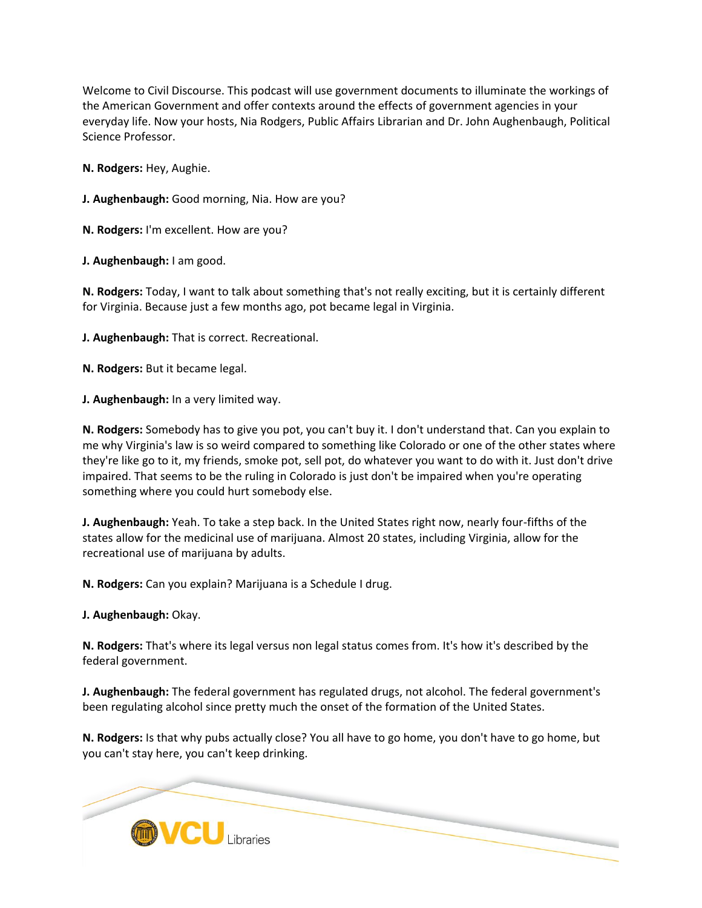Welcome to Civil Discourse. This podcast will use government documents to illuminate the workings of the American Government and offer contexts around the effects of government agencies in your everyday life. Now your hosts, Nia Rodgers, Public Affairs Librarian and Dr. John Aughenbaugh, Political Science Professor.

**N. Rodgers:** Hey, Aughie.

**J. Aughenbaugh:** Good morning, Nia. How are you?

**N. Rodgers:** I'm excellent. How are you?

**J. Aughenbaugh:** I am good.

**N. Rodgers:** Today, I want to talk about something that's not really exciting, but it is certainly different for Virginia. Because just a few months ago, pot became legal in Virginia.

**J. Aughenbaugh:** That is correct. Recreational.

**N. Rodgers:** But it became legal.

**J. Aughenbaugh:** In a very limited way.

**N. Rodgers:** Somebody has to give you pot, you can't buy it. I don't understand that. Can you explain to me why Virginia's law is so weird compared to something like Colorado or one of the other states where they're like go to it, my friends, smoke pot, sell pot, do whatever you want to do with it. Just don't drive impaired. That seems to be the ruling in Colorado is just don't be impaired when you're operating something where you could hurt somebody else.

**J. Aughenbaugh:** Yeah. To take a step back. In the United States right now, nearly four-fifths of the states allow for the medicinal use of marijuana. Almost 20 states, including Virginia, allow for the recreational use of marijuana by adults.

**N. Rodgers:** Can you explain? Marijuana is a Schedule I drug.

**J. Aughenbaugh:** Okay.

**N. Rodgers:** That's where its legal versus non legal status comes from. It's how it's described by the federal government.

**J. Aughenbaugh:** The federal government has regulated drugs, not alcohol. The federal government's been regulating alcohol since pretty much the onset of the formation of the United States.

**N. Rodgers:** Is that why pubs actually close? You all have to go home, you don't have to go home, but you can't stay here, you can't keep drinking.

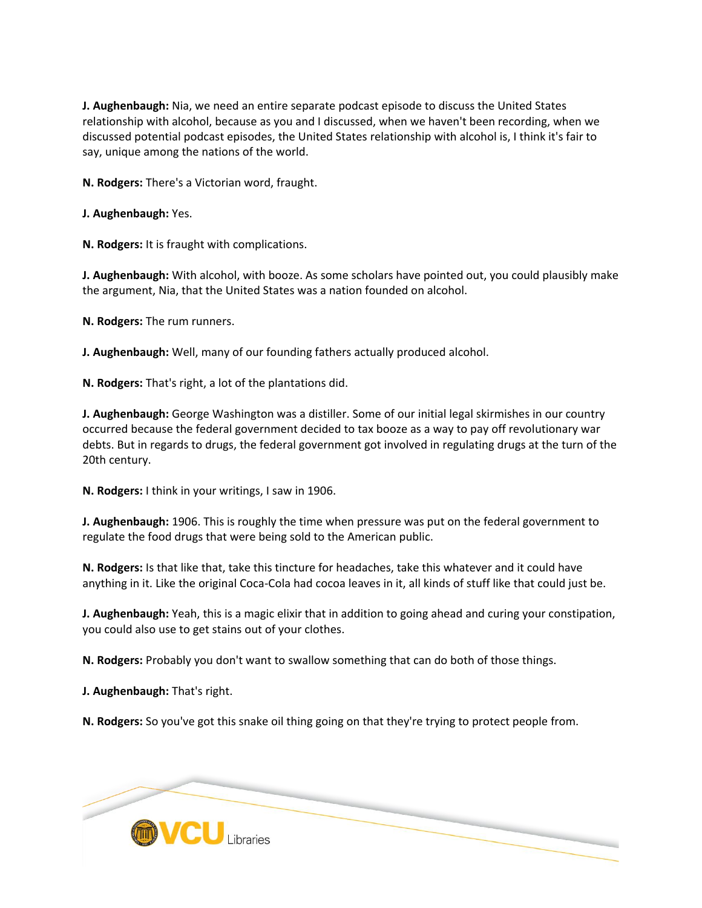**J. Aughenbaugh:** Nia, we need an entire separate podcast episode to discuss the United States relationship with alcohol, because as you and I discussed, when we haven't been recording, when we discussed potential podcast episodes, the United States relationship with alcohol is, I think it's fair to say, unique among the nations of the world.

**N. Rodgers:** There's a Victorian word, fraught.

**J. Aughenbaugh:** Yes.

**N. Rodgers:** It is fraught with complications.

**J. Aughenbaugh:** With alcohol, with booze. As some scholars have pointed out, you could plausibly make the argument, Nia, that the United States was a nation founded on alcohol.

**N. Rodgers:** The rum runners.

**J. Aughenbaugh:** Well, many of our founding fathers actually produced alcohol.

**N. Rodgers:** That's right, a lot of the plantations did.

**J. Aughenbaugh:** George Washington was a distiller. Some of our initial legal skirmishes in our country occurred because the federal government decided to tax booze as a way to pay off revolutionary war debts. But in regards to drugs, the federal government got involved in regulating drugs at the turn of the 20th century.

**N. Rodgers:** I think in your writings, I saw in 1906.

**J. Aughenbaugh:** 1906. This is roughly the time when pressure was put on the federal government to regulate the food drugs that were being sold to the American public.

**N. Rodgers:** Is that like that, take this tincture for headaches, take this whatever and it could have anything in it. Like the original Coca-Cola had cocoa leaves in it, all kinds of stuff like that could just be.

**J. Aughenbaugh:** Yeah, this is a magic elixir that in addition to going ahead and curing your constipation, you could also use to get stains out of your clothes.

**N. Rodgers:** Probably you don't want to swallow something that can do both of those things.

**J. Aughenbaugh:** That's right.

**N. Rodgers:** So you've got this snake oil thing going on that they're trying to protect people from.

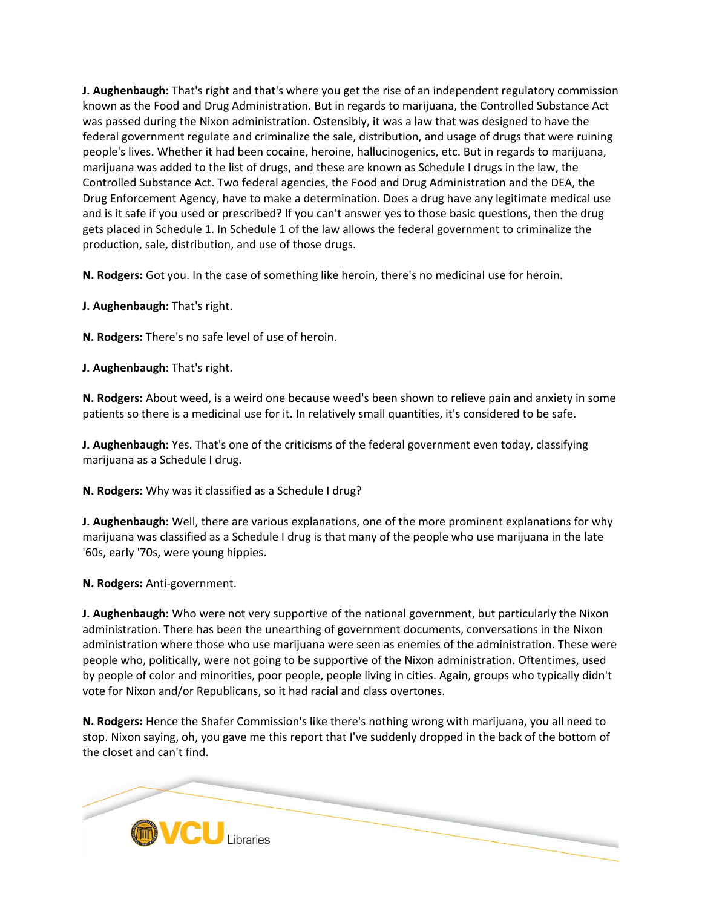**J. Aughenbaugh:** That's right and that's where you get the rise of an independent regulatory commission known as the Food and Drug Administration. But in regards to marijuana, the Controlled Substance Act was passed during the Nixon administration. Ostensibly, it was a law that was designed to have the federal government regulate and criminalize the sale, distribution, and usage of drugs that were ruining people's lives. Whether it had been cocaine, heroine, hallucinogenics, etc. But in regards to marijuana, marijuana was added to the list of drugs, and these are known as Schedule I drugs in the law, the Controlled Substance Act. Two federal agencies, the Food and Drug Administration and the DEA, the Drug Enforcement Agency, have to make a determination. Does a drug have any legitimate medical use and is it safe if you used or prescribed? If you can't answer yes to those basic questions, then the drug gets placed in Schedule 1. In Schedule 1 of the law allows the federal government to criminalize the production, sale, distribution, and use of those drugs.

**N. Rodgers:** Got you. In the case of something like heroin, there's no medicinal use for heroin.

**J. Aughenbaugh:** That's right.

**N. Rodgers:** There's no safe level of use of heroin.

**J. Aughenbaugh:** That's right.

**N. Rodgers:** About weed, is a weird one because weed's been shown to relieve pain and anxiety in some patients so there is a medicinal use for it. In relatively small quantities, it's considered to be safe.

**J. Aughenbaugh:** Yes. That's one of the criticisms of the federal government even today, classifying marijuana as a Schedule I drug.

**N. Rodgers:** Why was it classified as a Schedule I drug?

**J. Aughenbaugh:** Well, there are various explanations, one of the more prominent explanations for why marijuana was classified as a Schedule I drug is that many of the people who use marijuana in the late '60s, early '70s, were young hippies.

**N. Rodgers:** Anti-government.

**J. Aughenbaugh:** Who were not very supportive of the national government, but particularly the Nixon administration. There has been the unearthing of government documents, conversations in the Nixon administration where those who use marijuana were seen as enemies of the administration. These were people who, politically, were not going to be supportive of the Nixon administration. Oftentimes, used by people of color and minorities, poor people, people living in cities. Again, groups who typically didn't vote for Nixon and/or Republicans, so it had racial and class overtones.

**N. Rodgers:** Hence the Shafer Commission's like there's nothing wrong with marijuana, you all need to stop. Nixon saying, oh, you gave me this report that I've suddenly dropped in the back of the bottom of the closet and can't find.

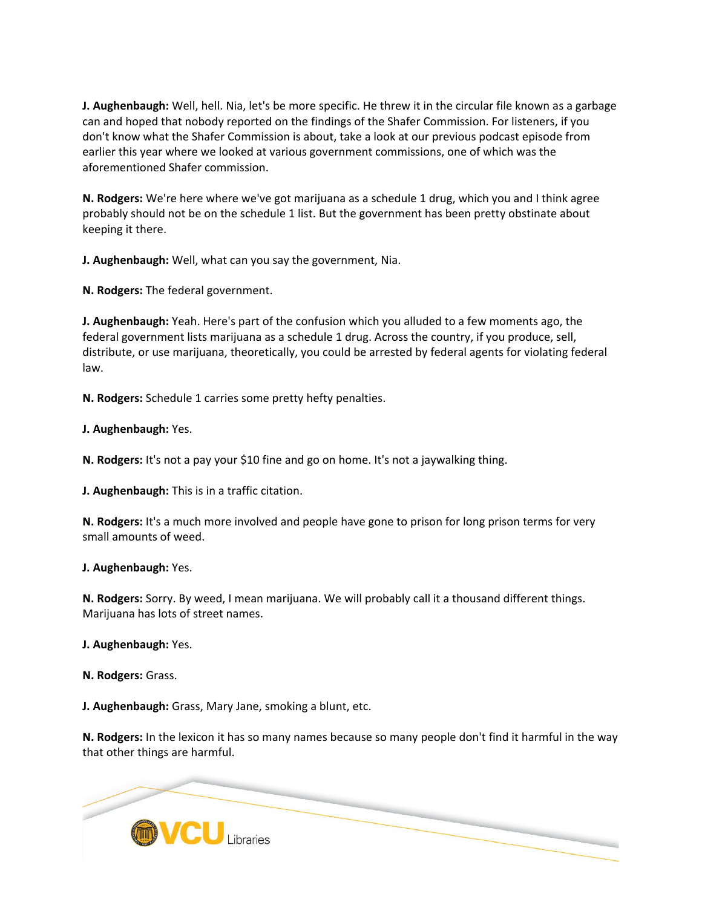**J. Aughenbaugh:** Well, hell. Nia, let's be more specific. He threw it in the circular file known as a garbage can and hoped that nobody reported on the findings of the Shafer Commission. For listeners, if you don't know what the Shafer Commission is about, take a look at our previous podcast episode from earlier this year where we looked at various government commissions, one of which was the aforementioned Shafer commission.

**N. Rodgers:** We're here where we've got marijuana as a schedule 1 drug, which you and I think agree probably should not be on the schedule 1 list. But the government has been pretty obstinate about keeping it there.

**J. Aughenbaugh:** Well, what can you say the government, Nia.

**N. Rodgers:** The federal government.

**J. Aughenbaugh:** Yeah. Here's part of the confusion which you alluded to a few moments ago, the federal government lists marijuana as a schedule 1 drug. Across the country, if you produce, sell, distribute, or use marijuana, theoretically, you could be arrested by federal agents for violating federal law.

**N. Rodgers:** Schedule 1 carries some pretty hefty penalties.

**J. Aughenbaugh:** Yes.

**N. Rodgers:** It's not a pay your \$10 fine and go on home. It's not a jaywalking thing.

**J. Aughenbaugh:** This is in a traffic citation.

**N. Rodgers:** It's a much more involved and people have gone to prison for long prison terms for very small amounts of weed.

**J. Aughenbaugh:** Yes.

**N. Rodgers:** Sorry. By weed, I mean marijuana. We will probably call it a thousand different things. Marijuana has lots of street names.

**J. Aughenbaugh:** Yes.

**N. Rodgers:** Grass.

**J. Aughenbaugh:** Grass, Mary Jane, smoking a blunt, etc.

**N. Rodgers:** In the lexicon it has so many names because so many people don't find it harmful in the way that other things are harmful.

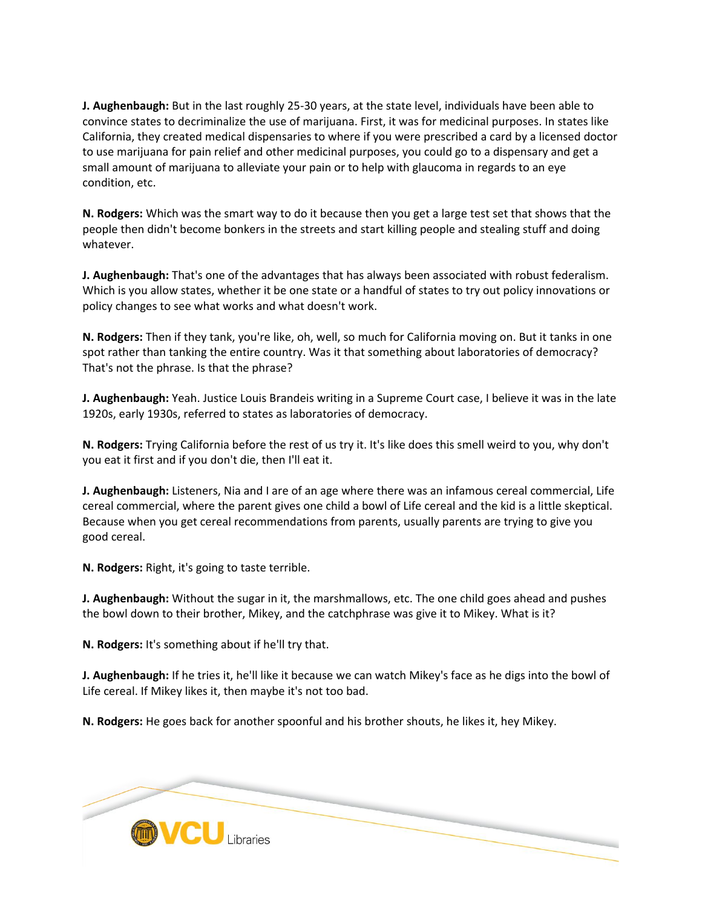**J. Aughenbaugh:** But in the last roughly 25-30 years, at the state level, individuals have been able to convince states to decriminalize the use of marijuana. First, it was for medicinal purposes. In states like California, they created medical dispensaries to where if you were prescribed a card by a licensed doctor to use marijuana for pain relief and other medicinal purposes, you could go to a dispensary and get a small amount of marijuana to alleviate your pain or to help with glaucoma in regards to an eye condition, etc.

**N. Rodgers:** Which was the smart way to do it because then you get a large test set that shows that the people then didn't become bonkers in the streets and start killing people and stealing stuff and doing whatever.

**J. Aughenbaugh:** That's one of the advantages that has always been associated with robust federalism. Which is you allow states, whether it be one state or a handful of states to try out policy innovations or policy changes to see what works and what doesn't work.

**N. Rodgers:** Then if they tank, you're like, oh, well, so much for California moving on. But it tanks in one spot rather than tanking the entire country. Was it that something about laboratories of democracy? That's not the phrase. Is that the phrase?

**J. Aughenbaugh:** Yeah. Justice Louis Brandeis writing in a Supreme Court case, I believe it was in the late 1920s, early 1930s, referred to states as laboratories of democracy.

**N. Rodgers:** Trying California before the rest of us try it. It's like does this smell weird to you, why don't you eat it first and if you don't die, then I'll eat it.

**J. Aughenbaugh:** Listeners, Nia and I are of an age where there was an infamous cereal commercial, Life cereal commercial, where the parent gives one child a bowl of Life cereal and the kid is a little skeptical. Because when you get cereal recommendations from parents, usually parents are trying to give you good cereal.

**N. Rodgers:** Right, it's going to taste terrible.

**J. Aughenbaugh:** Without the sugar in it, the marshmallows, etc. The one child goes ahead and pushes the bowl down to their brother, Mikey, and the catchphrase was give it to Mikey. What is it?

**N. Rodgers:** It's something about if he'll try that.

**J. Aughenbaugh:** If he tries it, he'll like it because we can watch Mikey's face as he digs into the bowl of Life cereal. If Mikey likes it, then maybe it's not too bad.

**N. Rodgers:** He goes back for another spoonful and his brother shouts, he likes it, hey Mikey.

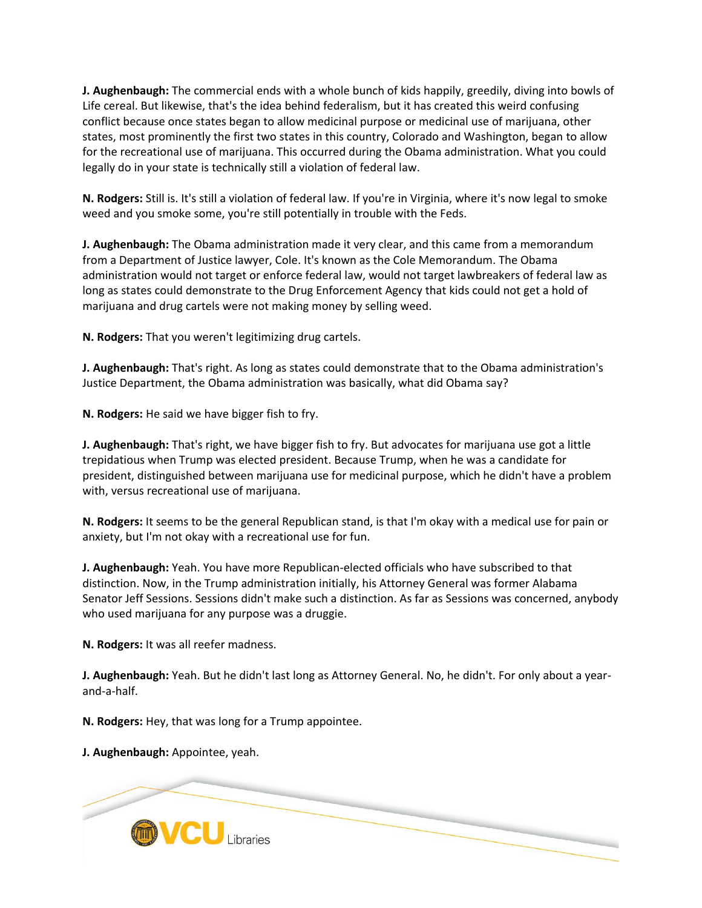**J. Aughenbaugh:** The commercial ends with a whole bunch of kids happily, greedily, diving into bowls of Life cereal. But likewise, that's the idea behind federalism, but it has created this weird confusing conflict because once states began to allow medicinal purpose or medicinal use of marijuana, other states, most prominently the first two states in this country, Colorado and Washington, began to allow for the recreational use of marijuana. This occurred during the Obama administration. What you could legally do in your state is technically still a violation of federal law.

**N. Rodgers:** Still is. It's still a violation of federal law. If you're in Virginia, where it's now legal to smoke weed and you smoke some, you're still potentially in trouble with the Feds.

**J. Aughenbaugh:** The Obama administration made it very clear, and this came from a memorandum from a Department of Justice lawyer, Cole. It's known as the Cole Memorandum. The Obama administration would not target or enforce federal law, would not target lawbreakers of federal law as long as states could demonstrate to the Drug Enforcement Agency that kids could not get a hold of marijuana and drug cartels were not making money by selling weed.

**N. Rodgers:** That you weren't legitimizing drug cartels.

**J. Aughenbaugh:** That's right. As long as states could demonstrate that to the Obama administration's Justice Department, the Obama administration was basically, what did Obama say?

**N. Rodgers:** He said we have bigger fish to fry.

**J. Aughenbaugh:** That's right, we have bigger fish to fry. But advocates for marijuana use got a little trepidatious when Trump was elected president. Because Trump, when he was a candidate for president, distinguished between marijuana use for medicinal purpose, which he didn't have a problem with, versus recreational use of marijuana.

**N. Rodgers:** It seems to be the general Republican stand, is that I'm okay with a medical use for pain or anxiety, but I'm not okay with a recreational use for fun.

**J. Aughenbaugh:** Yeah. You have more Republican-elected officials who have subscribed to that distinction. Now, in the Trump administration initially, his Attorney General was former Alabama Senator Jeff Sessions. Sessions didn't make such a distinction. As far as Sessions was concerned, anybody who used marijuana for any purpose was a druggie.

**N. Rodgers:** It was all reefer madness.

**J. Aughenbaugh:** Yeah. But he didn't last long as Attorney General. No, he didn't. For only about a yearand-a-half.

**N. Rodgers:** Hey, that was long for a Trump appointee.

**J. Aughenbaugh:** Appointee, yeah.

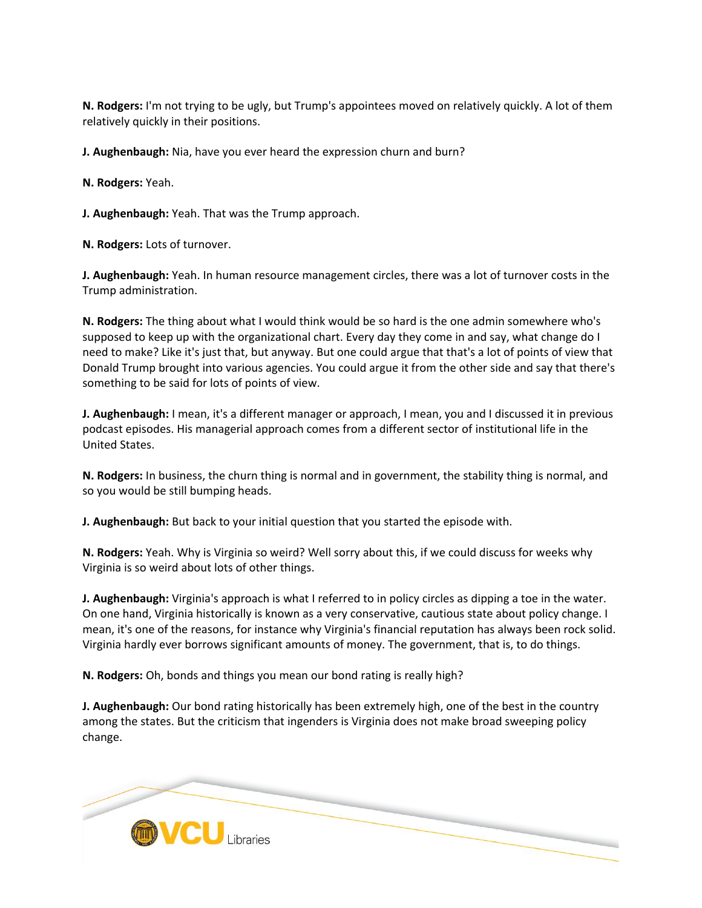**N. Rodgers:** I'm not trying to be ugly, but Trump's appointees moved on relatively quickly. A lot of them relatively quickly in their positions.

**J. Aughenbaugh:** Nia, have you ever heard the expression churn and burn?

**N. Rodgers:** Yeah.

**J. Aughenbaugh:** Yeah. That was the Trump approach.

**N. Rodgers:** Lots of turnover.

**J. Aughenbaugh:** Yeah. In human resource management circles, there was a lot of turnover costs in the Trump administration.

**N. Rodgers:** The thing about what I would think would be so hard is the one admin somewhere who's supposed to keep up with the organizational chart. Every day they come in and say, what change do I need to make? Like it's just that, but anyway. But one could argue that that's a lot of points of view that Donald Trump brought into various agencies. You could argue it from the other side and say that there's something to be said for lots of points of view.

**J. Aughenbaugh:** I mean, it's a different manager or approach, I mean, you and I discussed it in previous podcast episodes. His managerial approach comes from a different sector of institutional life in the United States.

**N. Rodgers:** In business, the churn thing is normal and in government, the stability thing is normal, and so you would be still bumping heads.

**J. Aughenbaugh:** But back to your initial question that you started the episode with.

**N. Rodgers:** Yeah. Why is Virginia so weird? Well sorry about this, if we could discuss for weeks why Virginia is so weird about lots of other things.

**J. Aughenbaugh:** Virginia's approach is what I referred to in policy circles as dipping a toe in the water. On one hand, Virginia historically is known as a very conservative, cautious state about policy change. I mean, it's one of the reasons, for instance why Virginia's financial reputation has always been rock solid. Virginia hardly ever borrows significant amounts of money. The government, that is, to do things.

**N. Rodgers:** Oh, bonds and things you mean our bond rating is really high?

**J. Aughenbaugh:** Our bond rating historically has been extremely high, one of the best in the country among the states. But the criticism that ingenders is Virginia does not make broad sweeping policy change.

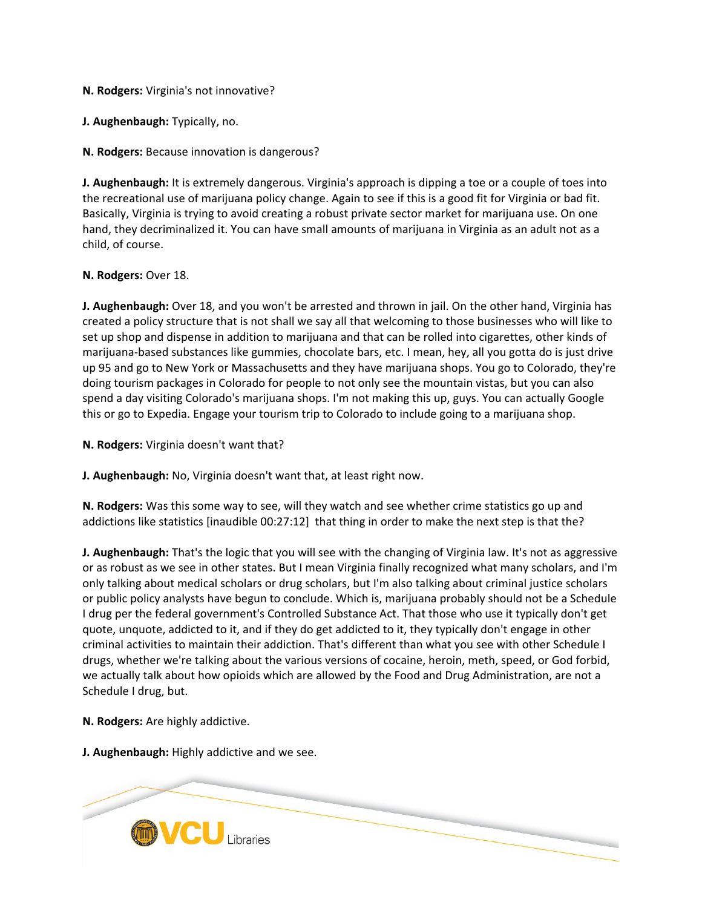**N. Rodgers:** Virginia's not innovative?

**J. Aughenbaugh:** Typically, no.

**N. Rodgers:** Because innovation is dangerous?

**J. Aughenbaugh:** It is extremely dangerous. Virginia's approach is dipping a toe or a couple of toes into the recreational use of marijuana policy change. Again to see if this is a good fit for Virginia or bad fit. Basically, Virginia is trying to avoid creating a robust private sector market for marijuana use. On one hand, they decriminalized it. You can have small amounts of marijuana in Virginia as an adult not as a child, of course.

#### **N. Rodgers:** Over 18.

**J. Aughenbaugh:** Over 18, and you won't be arrested and thrown in jail. On the other hand, Virginia has created a policy structure that is not shall we say all that welcoming to those businesses who will like to set up shop and dispense in addition to marijuana and that can be rolled into cigarettes, other kinds of marijuana-based substances like gummies, chocolate bars, etc. I mean, hey, all you gotta do is just drive up 95 and go to New York or Massachusetts and they have marijuana shops. You go to Colorado, they're doing tourism packages in Colorado for people to not only see the mountain vistas, but you can also spend a day visiting Colorado's marijuana shops. I'm not making this up, guys. You can actually Google this or go to Expedia. Engage your tourism trip to Colorado to include going to a marijuana shop.

**N. Rodgers:** Virginia doesn't want that?

**J. Aughenbaugh:** No, Virginia doesn't want that, at least right now.

**N. Rodgers:** Was this some way to see, will they watch and see whether crime statistics go up and addictions like statistics [inaudible 00:27:12] that thing in order to make the next step is that the?

**J. Aughenbaugh:** That's the logic that you will see with the changing of Virginia law. It's not as aggressive or as robust as we see in other states. But I mean Virginia finally recognized what many scholars, and I'm only talking about medical scholars or drug scholars, but I'm also talking about criminal justice scholars or public policy analysts have begun to conclude. Which is, marijuana probably should not be a Schedule I drug per the federal government's Controlled Substance Act. That those who use it typically don't get quote, unquote, addicted to it, and if they do get addicted to it, they typically don't engage in other criminal activities to maintain their addiction. That's different than what you see with other Schedule I drugs, whether we're talking about the various versions of cocaine, heroin, meth, speed, or God forbid, we actually talk about how opioids which are allowed by the Food and Drug Administration, are not a Schedule I drug, but.

**N. Rodgers:** Are highly addictive.

**J. Aughenbaugh:** Highly addictive and we see.

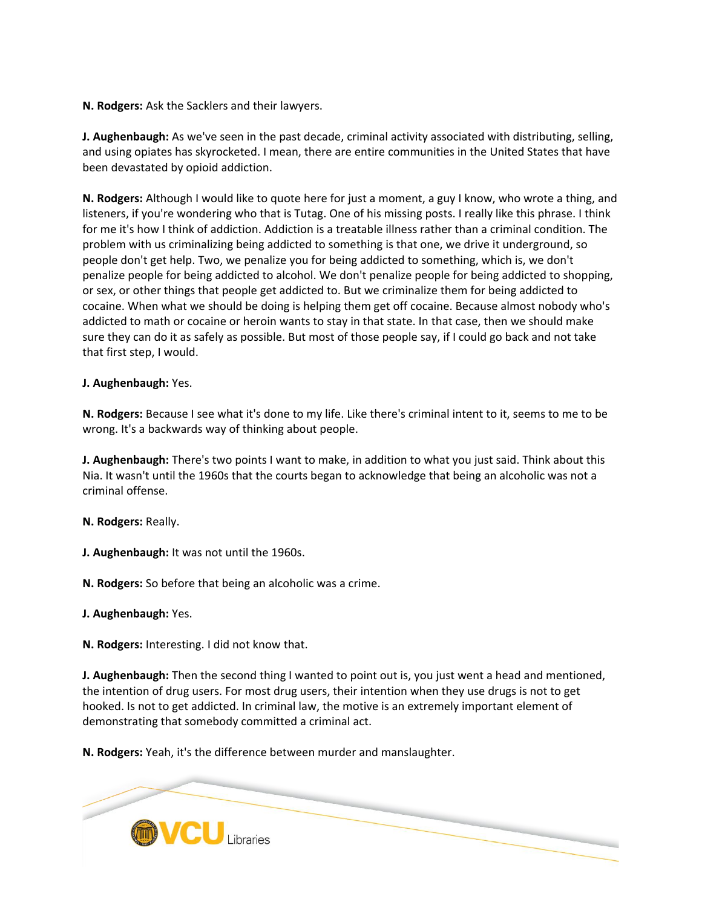**N. Rodgers:** Ask the Sacklers and their lawyers.

**J. Aughenbaugh:** As we've seen in the past decade, criminal activity associated with distributing, selling, and using opiates has skyrocketed. I mean, there are entire communities in the United States that have been devastated by opioid addiction.

**N. Rodgers:** Although I would like to quote here for just a moment, a guy I know, who wrote a thing, and listeners, if you're wondering who that is Tutag. One of his missing posts. I really like this phrase. I think for me it's how I think of addiction. Addiction is a treatable illness rather than a criminal condition. The problem with us criminalizing being addicted to something is that one, we drive it underground, so people don't get help. Two, we penalize you for being addicted to something, which is, we don't penalize people for being addicted to alcohol. We don't penalize people for being addicted to shopping, or sex, or other things that people get addicted to. But we criminalize them for being addicted to cocaine. When what we should be doing is helping them get off cocaine. Because almost nobody who's addicted to math or cocaine or heroin wants to stay in that state. In that case, then we should make sure they can do it as safely as possible. But most of those people say, if I could go back and not take that first step, I would.

**J. Aughenbaugh:** Yes.

**N. Rodgers:** Because I see what it's done to my life. Like there's criminal intent to it, seems to me to be wrong. It's a backwards way of thinking about people.

**J. Aughenbaugh:** There's two points I want to make, in addition to what you just said. Think about this Nia. It wasn't until the 1960s that the courts began to acknowledge that being an alcoholic was not a criminal offense.

**N. Rodgers:** Really.

**J. Aughenbaugh:** It was not until the 1960s.

**N. Rodgers:** So before that being an alcoholic was a crime.

**J. Aughenbaugh:** Yes.

**N. Rodgers:** Interesting. I did not know that.

**J. Aughenbaugh:** Then the second thing I wanted to point out is, you just went a head and mentioned, the intention of drug users. For most drug users, their intention when they use drugs is not to get hooked. Is not to get addicted. In criminal law, the motive is an extremely important element of demonstrating that somebody committed a criminal act.

**N. Rodgers:** Yeah, it's the difference between murder and manslaughter.

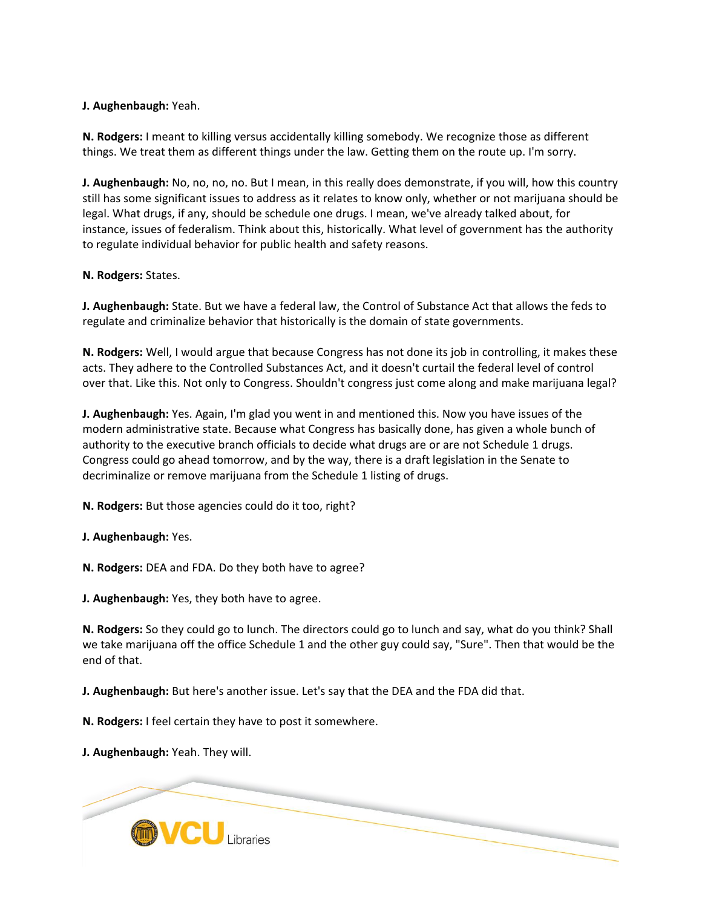## **J. Aughenbaugh:** Yeah.

**N. Rodgers:** I meant to killing versus accidentally killing somebody. We recognize those as different things. We treat them as different things under the law. Getting them on the route up. I'm sorry.

**J. Aughenbaugh:** No, no, no, no. But I mean, in this really does demonstrate, if you will, how this country still has some significant issues to address as it relates to know only, whether or not marijuana should be legal. What drugs, if any, should be schedule one drugs. I mean, we've already talked about, for instance, issues of federalism. Think about this, historically. What level of government has the authority to regulate individual behavior for public health and safety reasons.

### **N. Rodgers:** States.

**J. Aughenbaugh:** State. But we have a federal law, the Control of Substance Act that allows the feds to regulate and criminalize behavior that historically is the domain of state governments.

**N. Rodgers:** Well, I would argue that because Congress has not done its job in controlling, it makes these acts. They adhere to the Controlled Substances Act, and it doesn't curtail the federal level of control over that. Like this. Not only to Congress. Shouldn't congress just come along and make marijuana legal?

**J. Aughenbaugh:** Yes. Again, I'm glad you went in and mentioned this. Now you have issues of the modern administrative state. Because what Congress has basically done, has given a whole bunch of authority to the executive branch officials to decide what drugs are or are not Schedule 1 drugs. Congress could go ahead tomorrow, and by the way, there is a draft legislation in the Senate to decriminalize or remove marijuana from the Schedule 1 listing of drugs.

**N. Rodgers:** But those agencies could do it too, right?

**J. Aughenbaugh:** Yes.

**N. Rodgers:** DEA and FDA. Do they both have to agree?

**J. Aughenbaugh:** Yes, they both have to agree.

**N. Rodgers:** So they could go to lunch. The directors could go to lunch and say, what do you think? Shall we take marijuana off the office Schedule 1 and the other guy could say, "Sure". Then that would be the end of that.

**J. Aughenbaugh:** But here's another issue. Let's say that the DEA and the FDA did that.

**N. Rodgers:** I feel certain they have to post it somewhere.

**J. Aughenbaugh:** Yeah. They will.

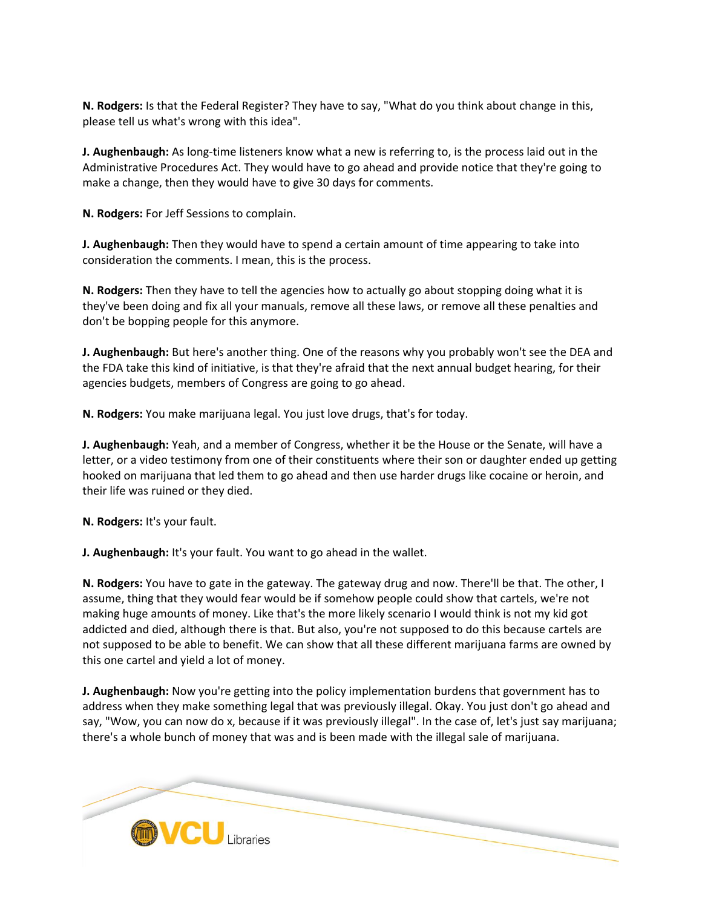**N. Rodgers:** Is that the Federal Register? They have to say, "What do you think about change in this, please tell us what's wrong with this idea".

**J. Aughenbaugh:** As long-time listeners know what a new is referring to, is the process laid out in the Administrative Procedures Act. They would have to go ahead and provide notice that they're going to make a change, then they would have to give 30 days for comments.

**N. Rodgers:** For Jeff Sessions to complain.

**J. Aughenbaugh:** Then they would have to spend a certain amount of time appearing to take into consideration the comments. I mean, this is the process.

**N. Rodgers:** Then they have to tell the agencies how to actually go about stopping doing what it is they've been doing and fix all your manuals, remove all these laws, or remove all these penalties and don't be bopping people for this anymore.

**J. Aughenbaugh:** But here's another thing. One of the reasons why you probably won't see the DEA and the FDA take this kind of initiative, is that they're afraid that the next annual budget hearing, for their agencies budgets, members of Congress are going to go ahead.

**N. Rodgers:** You make marijuana legal. You just love drugs, that's for today.

**J. Aughenbaugh:** Yeah, and a member of Congress, whether it be the House or the Senate, will have a letter, or a video testimony from one of their constituents where their son or daughter ended up getting hooked on marijuana that led them to go ahead and then use harder drugs like cocaine or heroin, and their life was ruined or they died.

**N. Rodgers:** It's your fault.

**J. Aughenbaugh:** It's your fault. You want to go ahead in the wallet.

**N. Rodgers:** You have to gate in the gateway. The gateway drug and now. There'll be that. The other, I assume, thing that they would fear would be if somehow people could show that cartels, we're not making huge amounts of money. Like that's the more likely scenario I would think is not my kid got addicted and died, although there is that. But also, you're not supposed to do this because cartels are not supposed to be able to benefit. We can show that all these different marijuana farms are owned by this one cartel and yield a lot of money.

**J. Aughenbaugh:** Now you're getting into the policy implementation burdens that government has to address when they make something legal that was previously illegal. Okay. You just don't go ahead and say, "Wow, you can now do x, because if it was previously illegal". In the case of, let's just say marijuana; there's a whole bunch of money that was and is been made with the illegal sale of marijuana.

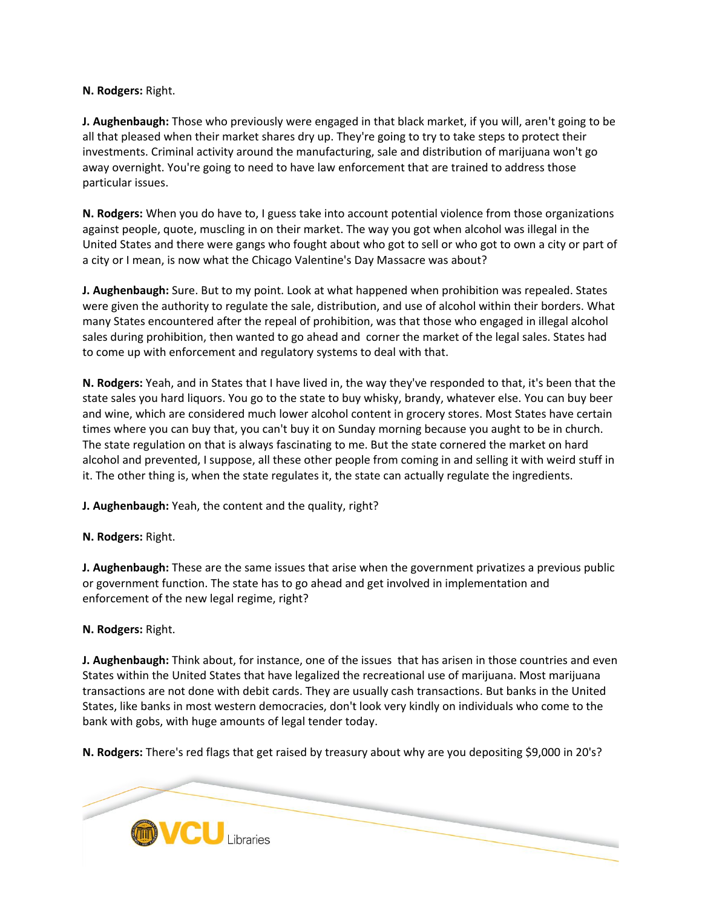## **N. Rodgers:** Right.

**J. Aughenbaugh:** Those who previously were engaged in that black market, if you will, aren't going to be all that pleased when their market shares dry up. They're going to try to take steps to protect their investments. Criminal activity around the manufacturing, sale and distribution of marijuana won't go away overnight. You're going to need to have law enforcement that are trained to address those particular issues.

**N. Rodgers:** When you do have to, I guess take into account potential violence from those organizations against people, quote, muscling in on their market. The way you got when alcohol was illegal in the United States and there were gangs who fought about who got to sell or who got to own a city or part of a city or I mean, is now what the Chicago Valentine's Day Massacre was about?

**J. Aughenbaugh:** Sure. But to my point. Look at what happened when prohibition was repealed. States were given the authority to regulate the sale, distribution, and use of alcohol within their borders. What many States encountered after the repeal of prohibition, was that those who engaged in illegal alcohol sales during prohibition, then wanted to go ahead and corner the market of the legal sales. States had to come up with enforcement and regulatory systems to deal with that.

**N. Rodgers:** Yeah, and in States that I have lived in, the way they've responded to that, it's been that the state sales you hard liquors. You go to the state to buy whisky, brandy, whatever else. You can buy beer and wine, which are considered much lower alcohol content in grocery stores. Most States have certain times where you can buy that, you can't buy it on Sunday morning because you aught to be in church. The state regulation on that is always fascinating to me. But the state cornered the market on hard alcohol and prevented, I suppose, all these other people from coming in and selling it with weird stuff in it. The other thing is, when the state regulates it, the state can actually regulate the ingredients.

**J. Aughenbaugh:** Yeah, the content and the quality, right?

**N. Rodgers:** Right.

**J. Aughenbaugh:** These are the same issues that arise when the government privatizes a previous public or government function. The state has to go ahead and get involved in implementation and enforcement of the new legal regime, right?

# **N. Rodgers:** Right.

**J. Aughenbaugh:** Think about, for instance, one of the issues that has arisen in those countries and even States within the United States that have legalized the recreational use of marijuana. Most marijuana transactions are not done with debit cards. They are usually cash transactions. But banks in the United States, like banks in most western democracies, don't look very kindly on individuals who come to the bank with gobs, with huge amounts of legal tender today.

**N. Rodgers:** There's red flags that get raised by treasury about why are you depositing \$9,000 in 20's?

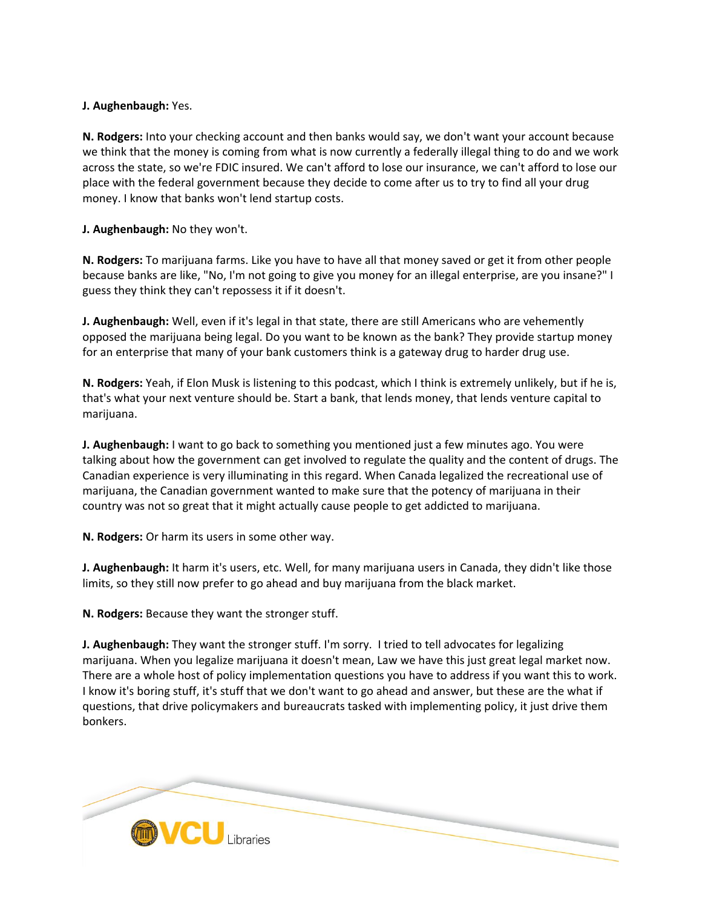## **J. Aughenbaugh:** Yes.

**N. Rodgers:** Into your checking account and then banks would say, we don't want your account because we think that the money is coming from what is now currently a federally illegal thing to do and we work across the state, so we're FDIC insured. We can't afford to lose our insurance, we can't afford to lose our place with the federal government because they decide to come after us to try to find all your drug money. I know that banks won't lend startup costs.

## **J. Aughenbaugh:** No they won't.

**N. Rodgers:** To marijuana farms. Like you have to have all that money saved or get it from other people because banks are like, "No, I'm not going to give you money for an illegal enterprise, are you insane?" I guess they think they can't repossess it if it doesn't.

**J. Aughenbaugh:** Well, even if it's legal in that state, there are still Americans who are vehemently opposed the marijuana being legal. Do you want to be known as the bank? They provide startup money for an enterprise that many of your bank customers think is a gateway drug to harder drug use.

**N. Rodgers:** Yeah, if Elon Musk is listening to this podcast, which I think is extremely unlikely, but if he is, that's what your next venture should be. Start a bank, that lends money, that lends venture capital to marijuana.

**J. Aughenbaugh:** I want to go back to something you mentioned just a few minutes ago. You were talking about how the government can get involved to regulate the quality and the content of drugs. The Canadian experience is very illuminating in this regard. When Canada legalized the recreational use of marijuana, the Canadian government wanted to make sure that the potency of marijuana in their country was not so great that it might actually cause people to get addicted to marijuana.

**N. Rodgers:** Or harm its users in some other way.

**J. Aughenbaugh:** It harm it's users, etc. Well, for many marijuana users in Canada, they didn't like those limits, so they still now prefer to go ahead and buy marijuana from the black market.

**N. Rodgers:** Because they want the stronger stuff.

**J. Aughenbaugh:** They want the stronger stuff. I'm sorry. I tried to tell advocates for legalizing marijuana. When you legalize marijuana it doesn't mean, Law we have this just great legal market now. There are a whole host of policy implementation questions you have to address if you want this to work. I know it's boring stuff, it's stuff that we don't want to go ahead and answer, but these are the what if questions, that drive policymakers and bureaucrats tasked with implementing policy, it just drive them bonkers.

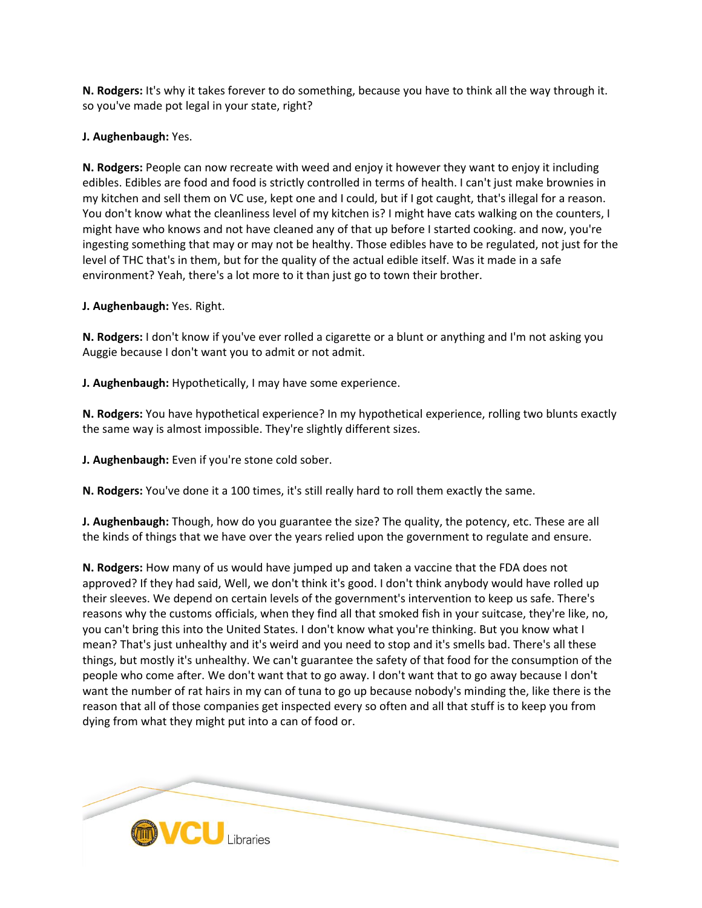**N. Rodgers:** It's why it takes forever to do something, because you have to think all the way through it. so you've made pot legal in your state, right?

**J. Aughenbaugh:** Yes.

**N. Rodgers:** People can now recreate with weed and enjoy it however they want to enjoy it including edibles. Edibles are food and food is strictly controlled in terms of health. I can't just make brownies in my kitchen and sell them on VC use, kept one and I could, but if I got caught, that's illegal for a reason. You don't know what the cleanliness level of my kitchen is? I might have cats walking on the counters, I might have who knows and not have cleaned any of that up before I started cooking. and now, you're ingesting something that may or may not be healthy. Those edibles have to be regulated, not just for the level of THC that's in them, but for the quality of the actual edible itself. Was it made in a safe environment? Yeah, there's a lot more to it than just go to town their brother.

**J. Aughenbaugh:** Yes. Right.

**N. Rodgers:** I don't know if you've ever rolled a cigarette or a blunt or anything and I'm not asking you Auggie because I don't want you to admit or not admit.

**J. Aughenbaugh:** Hypothetically, I may have some experience.

**N. Rodgers:** You have hypothetical experience? In my hypothetical experience, rolling two blunts exactly the same way is almost impossible. They're slightly different sizes.

**J. Aughenbaugh:** Even if you're stone cold sober.

**N. Rodgers:** You've done it a 100 times, it's still really hard to roll them exactly the same.

**J. Aughenbaugh:** Though, how do you guarantee the size? The quality, the potency, etc. These are all the kinds of things that we have over the years relied upon the government to regulate and ensure.

**N. Rodgers:** How many of us would have jumped up and taken a vaccine that the FDA does not approved? If they had said, Well, we don't think it's good. I don't think anybody would have rolled up their sleeves. We depend on certain levels of the government's intervention to keep us safe. There's reasons why the customs officials, when they find all that smoked fish in your suitcase, they're like, no, you can't bring this into the United States. I don't know what you're thinking. But you know what I mean? That's just unhealthy and it's weird and you need to stop and it's smells bad. There's all these things, but mostly it's unhealthy. We can't guarantee the safety of that food for the consumption of the people who come after. We don't want that to go away. I don't want that to go away because I don't want the number of rat hairs in my can of tuna to go up because nobody's minding the, like there is the reason that all of those companies get inspected every so often and all that stuff is to keep you from dying from what they might put into a can of food or.

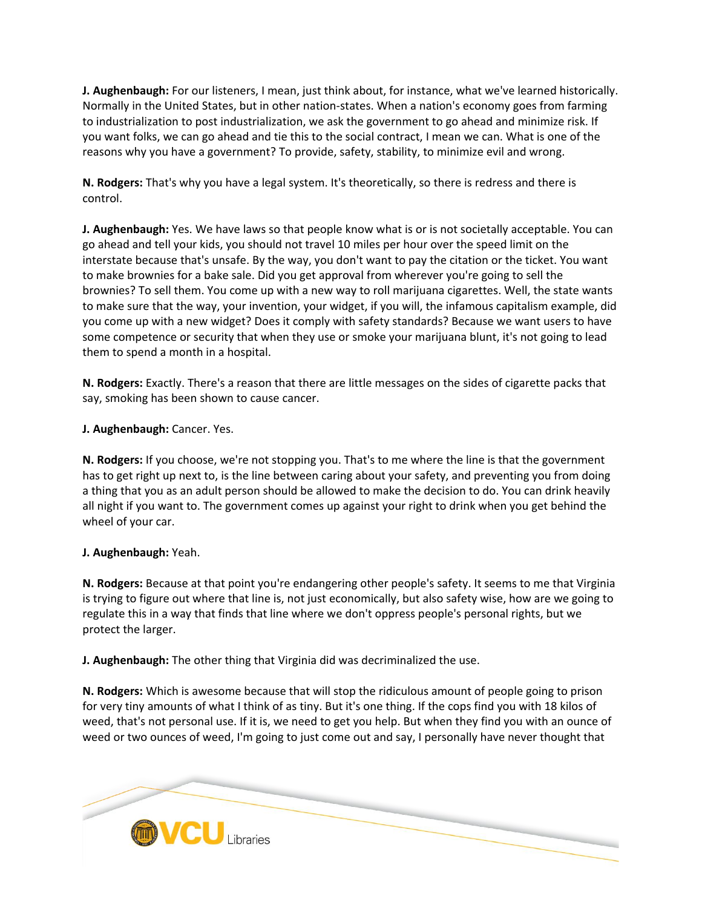**J. Aughenbaugh:** For our listeners, I mean, just think about, for instance, what we've learned historically. Normally in the United States, but in other nation-states. When a nation's economy goes from farming to industrialization to post industrialization, we ask the government to go ahead and minimize risk. If you want folks, we can go ahead and tie this to the social contract, I mean we can. What is one of the reasons why you have a government? To provide, safety, stability, to minimize evil and wrong.

**N. Rodgers:** That's why you have a legal system. It's theoretically, so there is redress and there is control.

**J. Aughenbaugh:** Yes. We have laws so that people know what is or is not societally acceptable. You can go ahead and tell your kids, you should not travel 10 miles per hour over the speed limit on the interstate because that's unsafe. By the way, you don't want to pay the citation or the ticket. You want to make brownies for a bake sale. Did you get approval from wherever you're going to sell the brownies? To sell them. You come up with a new way to roll marijuana cigarettes. Well, the state wants to make sure that the way, your invention, your widget, if you will, the infamous capitalism example, did you come up with a new widget? Does it comply with safety standards? Because we want users to have some competence or security that when they use or smoke your marijuana blunt, it's not going to lead them to spend a month in a hospital.

**N. Rodgers:** Exactly. There's a reason that there are little messages on the sides of cigarette packs that say, smoking has been shown to cause cancer.

**J. Aughenbaugh:** Cancer. Yes.

**N. Rodgers:** If you choose, we're not stopping you. That's to me where the line is that the government has to get right up next to, is the line between caring about your safety, and preventing you from doing a thing that you as an adult person should be allowed to make the decision to do. You can drink heavily all night if you want to. The government comes up against your right to drink when you get behind the wheel of your car.

# **J. Aughenbaugh:** Yeah.

**N. Rodgers:** Because at that point you're endangering other people's safety. It seems to me that Virginia is trying to figure out where that line is, not just economically, but also safety wise, how are we going to regulate this in a way that finds that line where we don't oppress people's personal rights, but we protect the larger.

**J. Aughenbaugh:** The other thing that Virginia did was decriminalized the use.

**N. Rodgers:** Which is awesome because that will stop the ridiculous amount of people going to prison for very tiny amounts of what I think of as tiny. But it's one thing. If the cops find you with 18 kilos of weed, that's not personal use. If it is, we need to get you help. But when they find you with an ounce of weed or two ounces of weed, I'm going to just come out and say, I personally have never thought that

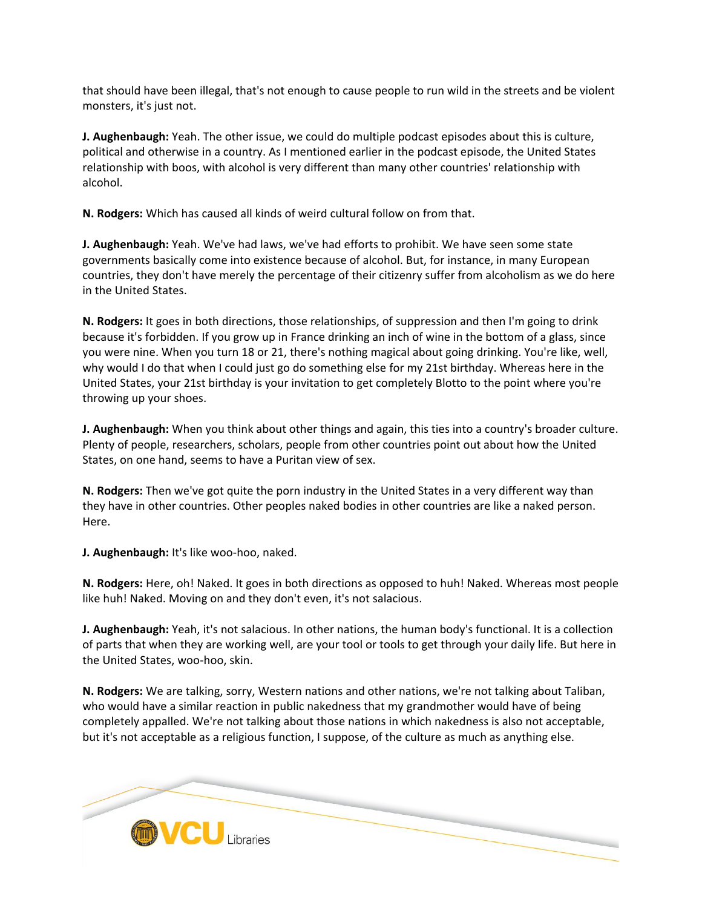that should have been illegal, that's not enough to cause people to run wild in the streets and be violent monsters, it's just not.

**J. Aughenbaugh:** Yeah. The other issue, we could do multiple podcast episodes about this is culture, political and otherwise in a country. As I mentioned earlier in the podcast episode, the United States relationship with boos, with alcohol is very different than many other countries' relationship with alcohol.

**N. Rodgers:** Which has caused all kinds of weird cultural follow on from that.

**J. Aughenbaugh:** Yeah. We've had laws, we've had efforts to prohibit. We have seen some state governments basically come into existence because of alcohol. But, for instance, in many European countries, they don't have merely the percentage of their citizenry suffer from alcoholism as we do here in the United States.

**N. Rodgers:** It goes in both directions, those relationships, of suppression and then I'm going to drink because it's forbidden. If you grow up in France drinking an inch of wine in the bottom of a glass, since you were nine. When you turn 18 or 21, there's nothing magical about going drinking. You're like, well, why would I do that when I could just go do something else for my 21st birthday. Whereas here in the United States, your 21st birthday is your invitation to get completely Blotto to the point where you're throwing up your shoes.

**J. Aughenbaugh:** When you think about other things and again, this ties into a country's broader culture. Plenty of people, researchers, scholars, people from other countries point out about how the United States, on one hand, seems to have a Puritan view of sex.

**N. Rodgers:** Then we've got quite the porn industry in the United States in a very different way than they have in other countries. Other peoples naked bodies in other countries are like a naked person. Here.

**J. Aughenbaugh:** It's like woo-hoo, naked.

**N. Rodgers:** Here, oh! Naked. It goes in both directions as opposed to huh! Naked. Whereas most people like huh! Naked. Moving on and they don't even, it's not salacious.

**J. Aughenbaugh:** Yeah, it's not salacious. In other nations, the human body's functional. It is a collection of parts that when they are working well, are your tool or tools to get through your daily life. But here in the United States, woo-hoo, skin.

**N. Rodgers:** We are talking, sorry, Western nations and other nations, we're not talking about Taliban, who would have a similar reaction in public nakedness that my grandmother would have of being completely appalled. We're not talking about those nations in which nakedness is also not acceptable, but it's not acceptable as a religious function, I suppose, of the culture as much as anything else.

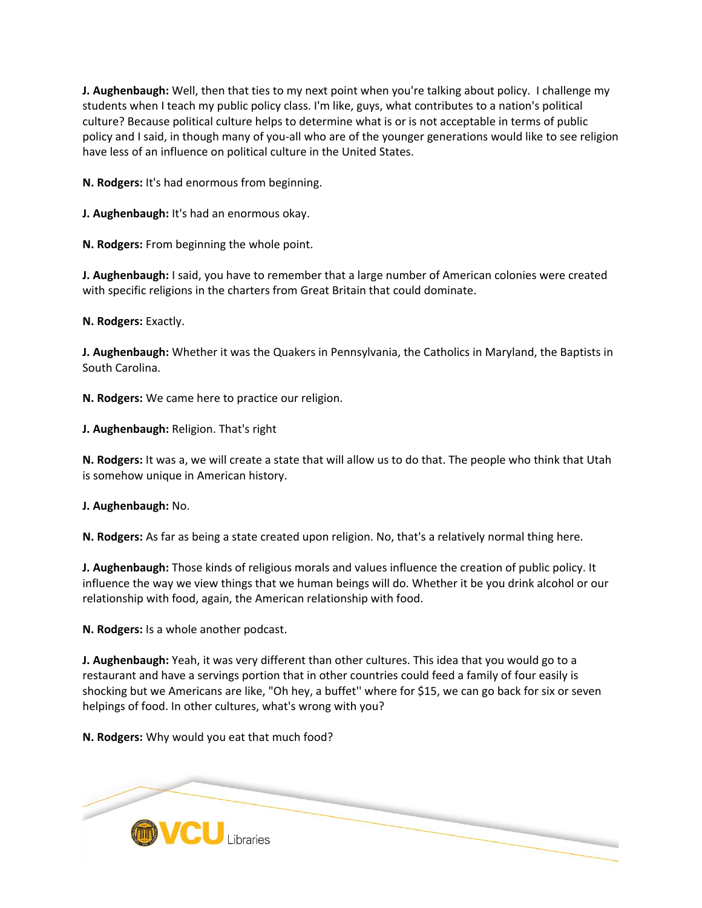**J. Aughenbaugh:** Well, then that ties to my next point when you're talking about policy. I challenge my students when I teach my public policy class. I'm like, guys, what contributes to a nation's political culture? Because political culture helps to determine what is or is not acceptable in terms of public policy and I said, in though many of you-all who are of the younger generations would like to see religion have less of an influence on political culture in the United States.

**N. Rodgers:** It's had enormous from beginning.

**J. Aughenbaugh:** It's had an enormous okay.

**N. Rodgers:** From beginning the whole point.

**J. Aughenbaugh:** I said, you have to remember that a large number of American colonies were created with specific religions in the charters from Great Britain that could dominate.

**N. Rodgers:** Exactly.

**J. Aughenbaugh:** Whether it was the Quakers in Pennsylvania, the Catholics in Maryland, the Baptists in South Carolina.

**N. Rodgers:** We came here to practice our religion.

**J. Aughenbaugh:** Religion. That's right

**N. Rodgers:** It was a, we will create a state that will allow us to do that. The people who think that Utah is somehow unique in American history.

**J. Aughenbaugh:** No.

**N. Rodgers:** As far as being a state created upon religion. No, that's a relatively normal thing here.

**J. Aughenbaugh:** Those kinds of religious morals and values influence the creation of public policy. It influence the way we view things that we human beings will do. Whether it be you drink alcohol or our relationship with food, again, the American relationship with food.

**N. Rodgers:** Is a whole another podcast.

**J. Aughenbaugh:** Yeah, it was very different than other cultures. This idea that you would go to a restaurant and have a servings portion that in other countries could feed a family of four easily is shocking but we Americans are like, "Oh hey, a buffet'' where for \$15, we can go back for six or seven helpings of food. In other cultures, what's wrong with you?

**N. Rodgers:** Why would you eat that much food?

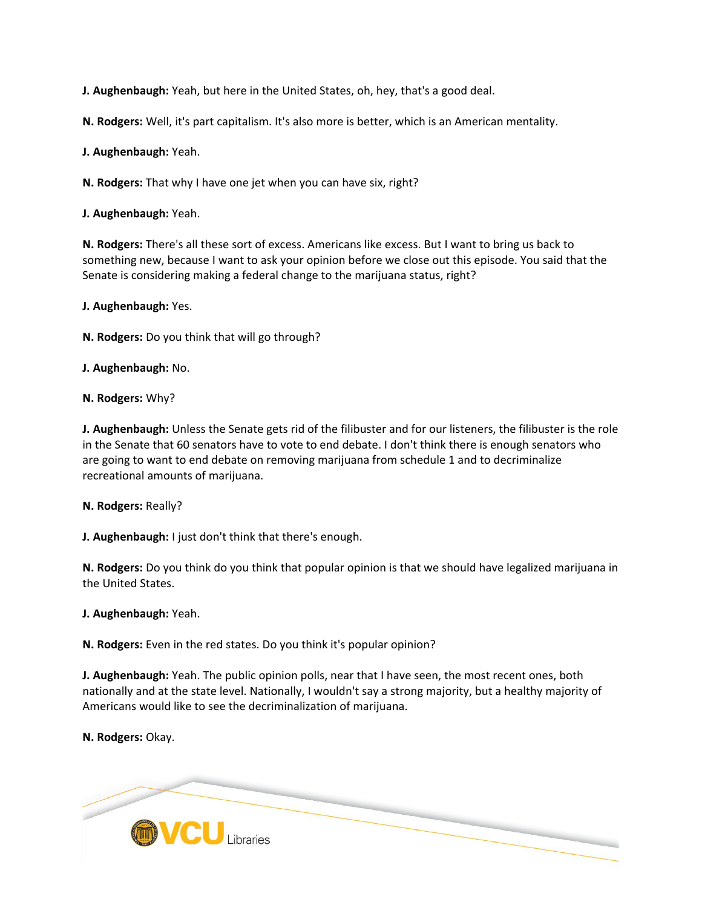**J. Aughenbaugh:** Yeah, but here in the United States, oh, hey, that's a good deal.

**N. Rodgers:** Well, it's part capitalism. It's also more is better, which is an American mentality.

**J. Aughenbaugh:** Yeah.

**N. Rodgers:** That why I have one jet when you can have six, right?

**J. Aughenbaugh:** Yeah.

**N. Rodgers:** There's all these sort of excess. Americans like excess. But I want to bring us back to something new, because I want to ask your opinion before we close out this episode. You said that the Senate is considering making a federal change to the marijuana status, right?

**J. Aughenbaugh:** Yes.

**N. Rodgers:** Do you think that will go through?

**J. Aughenbaugh:** No.

**N. Rodgers:** Why?

**J. Aughenbaugh:** Unless the Senate gets rid of the filibuster and for our listeners, the filibuster is the role in the Senate that 60 senators have to vote to end debate. I don't think there is enough senators who are going to want to end debate on removing marijuana from schedule 1 and to decriminalize recreational amounts of marijuana.

**N. Rodgers:** Really?

**J. Aughenbaugh:** I just don't think that there's enough.

**N. Rodgers:** Do you think do you think that popular opinion is that we should have legalized marijuana in the United States.

**J. Aughenbaugh:** Yeah.

**N. Rodgers:** Even in the red states. Do you think it's popular opinion?

**J. Aughenbaugh:** Yeah. The public opinion polls, near that I have seen, the most recent ones, both nationally and at the state level. Nationally, I wouldn't say a strong majority, but a healthy majority of Americans would like to see the decriminalization of marijuana.

**N. Rodgers:** Okay.

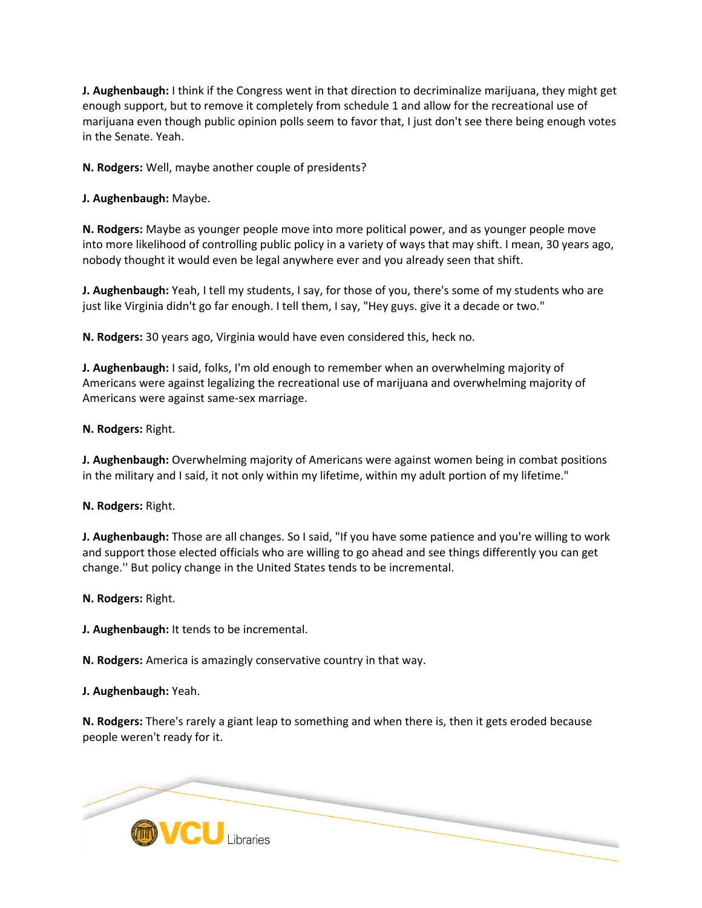**J. Aughenbaugh:** I think if the Congress went in that direction to decriminalize marijuana, they might get enough support, but to remove it completely from schedule 1 and allow for the recreational use of marijuana even though public opinion polls seem to favor that, I just don't see there being enough votes in the Senate. Yeah.

**N. Rodgers:** Well, maybe another couple of presidents?

**J. Aughenbaugh:** Maybe.

**N. Rodgers:** Maybe as younger people move into more political power, and as younger people move into more likelihood of controlling public policy in a variety of ways that may shift. I mean, 30 years ago, nobody thought it would even be legal anywhere ever and you already seen that shift.

**J. Aughenbaugh:** Yeah, I tell my students, I say, for those of you, there's some of my students who are just like Virginia didn't go far enough. I tell them, I say, "Hey guys. give it a decade or two."

**N. Rodgers:** 30 years ago, Virginia would have even considered this, heck no.

**J. Aughenbaugh:** I said, folks, I'm old enough to remember when an overwhelming majority of Americans were against legalizing the recreational use of marijuana and overwhelming majority of Americans were against same-sex marriage.

**N. Rodgers:** Right.

**J. Aughenbaugh:** Overwhelming majority of Americans were against women being in combat positions in the military and I said, it not only within my lifetime, within my adult portion of my lifetime."

**N. Rodgers:** Right.

**J. Aughenbaugh:** Those are all changes. So I said, "If you have some patience and you're willing to work and support those elected officials who are willing to go ahead and see things differently you can get change.'' But policy change in the United States tends to be incremental.

**N. Rodgers:** Right.

**J. Aughenbaugh:** It tends to be incremental.

**N. Rodgers:** America is amazingly conservative country in that way.

**J. Aughenbaugh:** Yeah.

**N. Rodgers:** There's rarely a giant leap to something and when there is, then it gets eroded because people weren't ready for it.

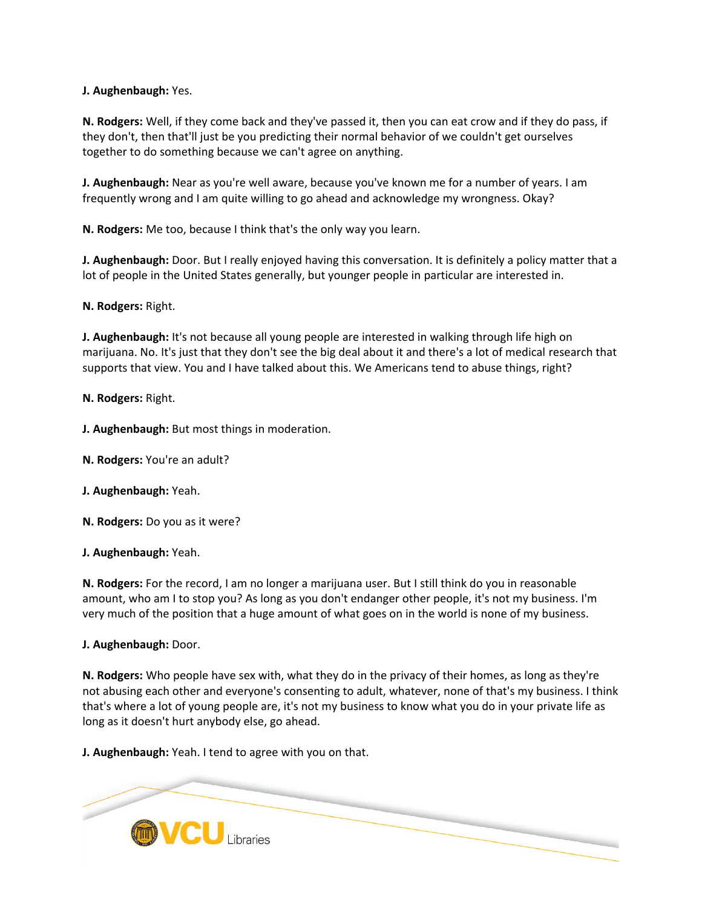**J. Aughenbaugh:** Yes.

**N. Rodgers:** Well, if they come back and they've passed it, then you can eat crow and if they do pass, if they don't, then that'll just be you predicting their normal behavior of we couldn't get ourselves together to do something because we can't agree on anything.

**J. Aughenbaugh:** Near as you're well aware, because you've known me for a number of years. I am frequently wrong and I am quite willing to go ahead and acknowledge my wrongness. Okay?

**N. Rodgers:** Me too, because I think that's the only way you learn.

**J. Aughenbaugh:** Door. But I really enjoyed having this conversation. It is definitely a policy matter that a lot of people in the United States generally, but younger people in particular are interested in.

**N. Rodgers:** Right.

**J. Aughenbaugh:** It's not because all young people are interested in walking through life high on marijuana. No. It's just that they don't see the big deal about it and there's a lot of medical research that supports that view. You and I have talked about this. We Americans tend to abuse things, right?

**N. Rodgers:** Right.

**J. Aughenbaugh:** But most things in moderation.

**N. Rodgers:** You're an adult?

**J. Aughenbaugh:** Yeah.

**N. Rodgers:** Do you as it were?

**J. Aughenbaugh:** Yeah.

**N. Rodgers:** For the record, I am no longer a marijuana user. But I still think do you in reasonable amount, who am I to stop you? As long as you don't endanger other people, it's not my business. I'm very much of the position that a huge amount of what goes on in the world is none of my business.

**J. Aughenbaugh:** Door.

**N. Rodgers:** Who people have sex with, what they do in the privacy of their homes, as long as they're not abusing each other and everyone's consenting to adult, whatever, none of that's my business. I think that's where a lot of young people are, it's not my business to know what you do in your private life as long as it doesn't hurt anybody else, go ahead.

**J. Aughenbaugh:** Yeah. I tend to agree with you on that.